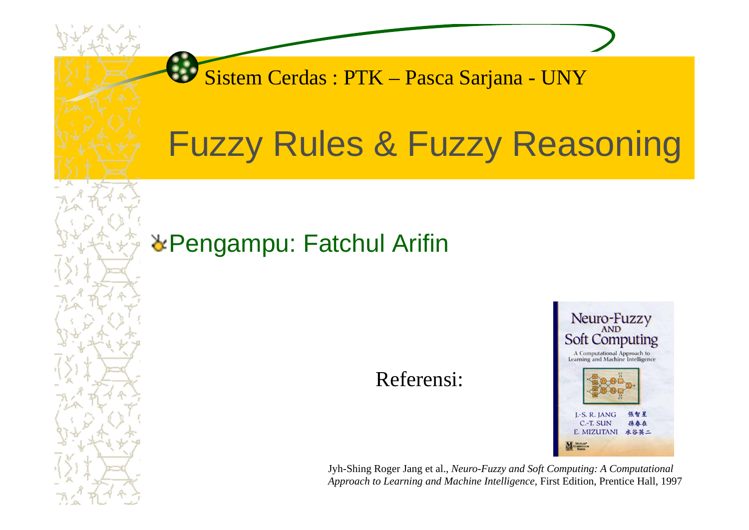Sistem Cerdas : PTK – Pasca Sarjana - UNY

# Fuzzy Rules & Fuzzy Reasoning

#### **& Pengampu: Fatchul Arifin**

Referensi:



Jyh-Shing Roger Jang et al., *Neuro-Fuzzy and Soft Computing: A Computational Approach to Learning and Machine Intelligence*, First Edition, Prentice Hall, 1997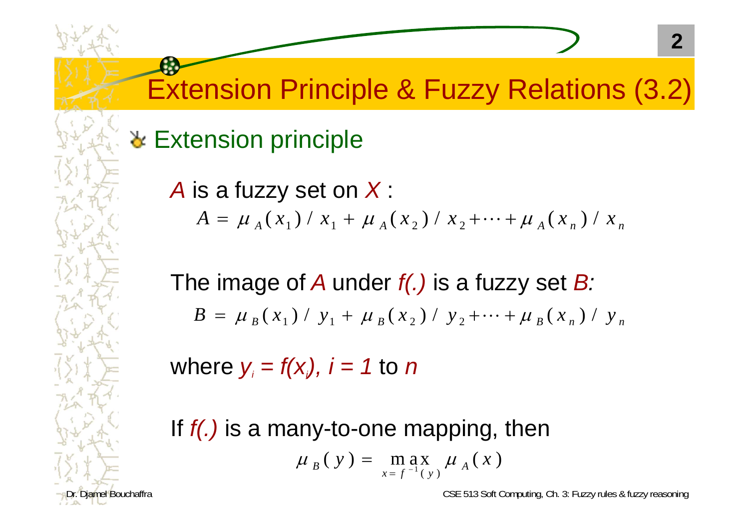**Extension principle** 

*A* is a fuzzy set on *X* :  $A = \mu_A(x_1) / x_1 + \mu_A(x_2) / x_2 + \cdots + \mu_A(x_n) / x_n$ 

The image of *A* under *f(.)* is a fuzzy set *B :*  $B = \mu_{B}(x_{1}) / y_{1} + \mu_{B}(x_{2}) / y_{2} + \cdots + \mu_{B}(x_{n}) / y_{n}$ 

where *yi = f(xi), i = 1* to *n*

If *f(.)* is a many-to-one mapping, then  $\mu$ <sub>B</sub>(y) = max  $\mu$  $x = f^{-1}(y)$   $\mu$  A  $(y) = \max_{x=f^{-1}(y)} \mu_A(x)$  $= f^{-1}$ 

iamel Bouchaffra **CSE 513 Soft Computing, Ch. 3: Fuzzy rules & fuzzy reasoning**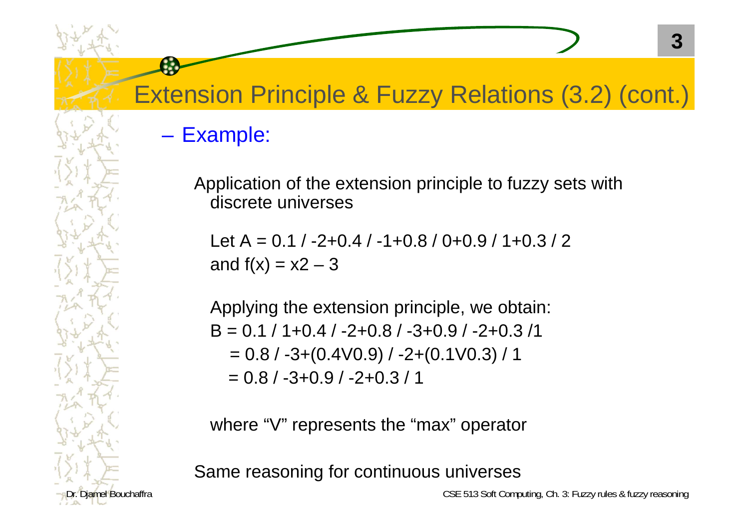#### Example:

Application of the extension principle to fuzzy sets with discrete universes

Let A =  $0.1 / -2 + 0.4 / -1 + 0.8 / 0 + 0.9 / 1 + 0.3 / 2$ and  $f(x) = x^2 - 3$ 

Applying the extension principle, we obtain:  $B = 0.1 / 1 + 0.4 / -2 + 0.8 / -3 + 0.9 / -2 + 0.3 / 1$  $= 0.8 / -3 + (0.4 V0.9) / -2 + (0.1 V0.3) / 1$  $= 0.8 / -3 + 0.9 / -2 + 0.3 / 1$ 

where "V" represents the "max" operator

Same reasoning for continuous universes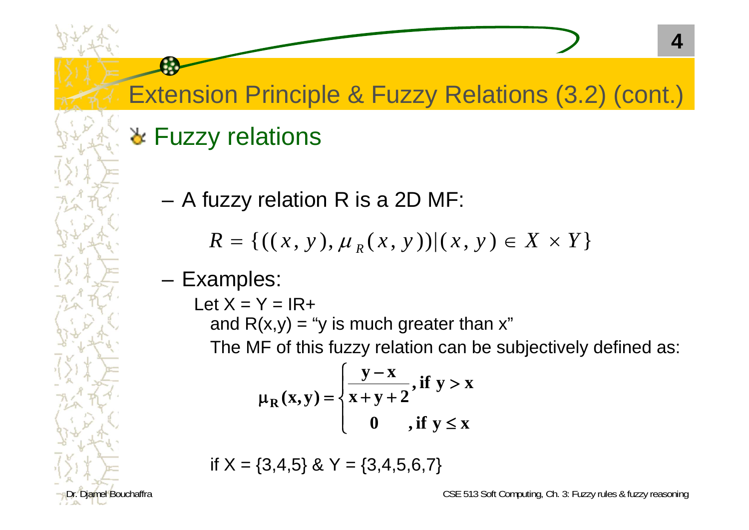## **& Fuzzy relations**

A fuzzy relation R is a 2D MF:

 $R = \{((x, y), \mu_R(x, y)) | (x, y) \in X \times Y\}$ 

#### Examples:

Let  $X = Y = IR +$ and  $R(x,y) =$  "y is much greater than x" The MF of this fuzzy relation can be subjectively defined as:

$$
\mu_R(x,y) = \begin{cases} \frac{y-x}{x+y+2}, \text{if } y > x \\ 0, \text{if } y \le x \end{cases}
$$

if  $X = \{3,4,5\}$  & Y =  $\{3,4,5,6,7\}$ 

Diamel Bouchaffra **CSE 513** Soft Computing, Ch. 3: Fuzzy rules & fuzzy reasoning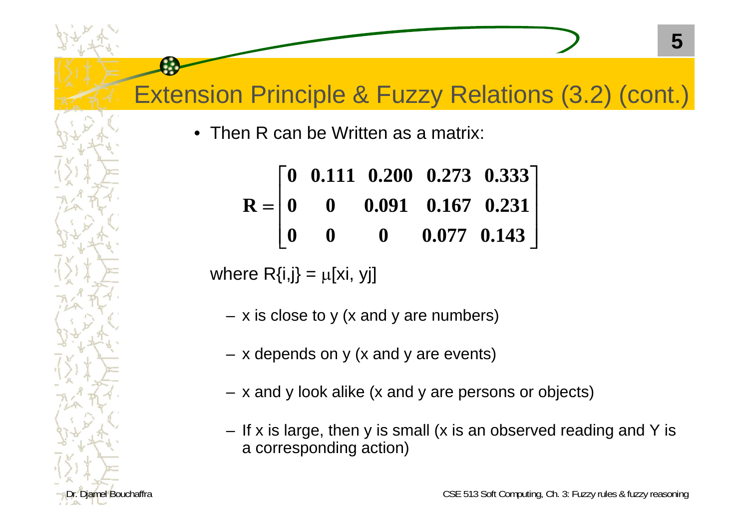• Then R can be Written as a matrix:

$$
R = \begin{bmatrix} 0 & 0.111 & 0.200 & 0.273 & 0.333 \\ 0 & 0 & 0.091 & 0.167 & 0.231 \\ 0 & 0 & 0 & 0.077 & 0.143 \end{bmatrix}
$$

where  $R\{i,j\} = \mu[xi, yj]$ 

- x is close to y (x and y are numbers)
- x depends on y (x and y are events)
- x and y look alike (x and y are persons or objects)
- If x is large, then y is small (x is an observed reading and Y is a corresponding action)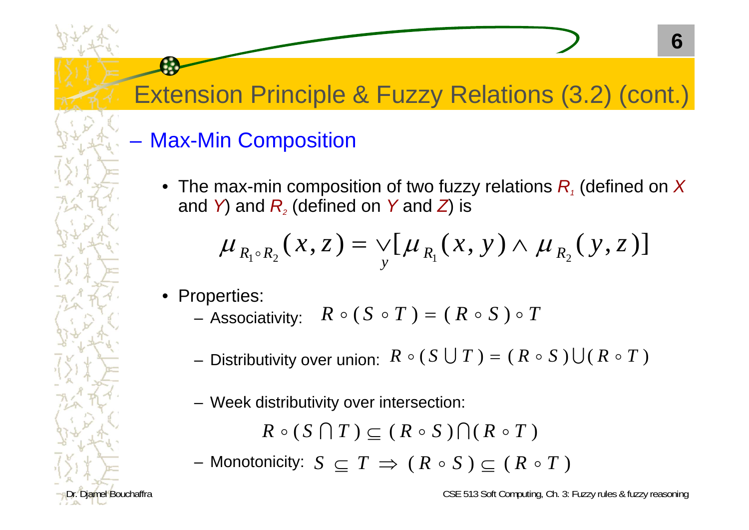#### Max-Min Composition

 $\bullet$  The max-min composition of two fuzzy relations  $R_i$  (defined on  $X$ and *Y*) and  $R_{\scriptscriptstyle 2}$  (defined on *Y* and *Z*) is

$$
\mu_{R_1 \circ R_2}(x, z) = \bigvee_{y} [\mu_{R_1}(x, y) \wedge \mu_{R_2}(y, z)]
$$

- Properties:
	- $-$  Associativity:  $\;\; R \mathrel{\circ} (S \mathrel{\circ} T) = (\; R \mathrel{\circ} S \mathrel{\circ} T)$
	- $R \circ (S \cup T) = (R \circ S) \cup (R \circ T)$
	- Week distributivity over intersection:

$$
R \circ (S \cap T) \subseteq (R \circ S) \cap (R \circ T)
$$

 $-$  Monotonicity:  $S\,\subseteq\, T\,\Rightarrow\,$  (  $R\,\circ\, S$  )  $\subseteq$  (  $R\,\circ\, T$  )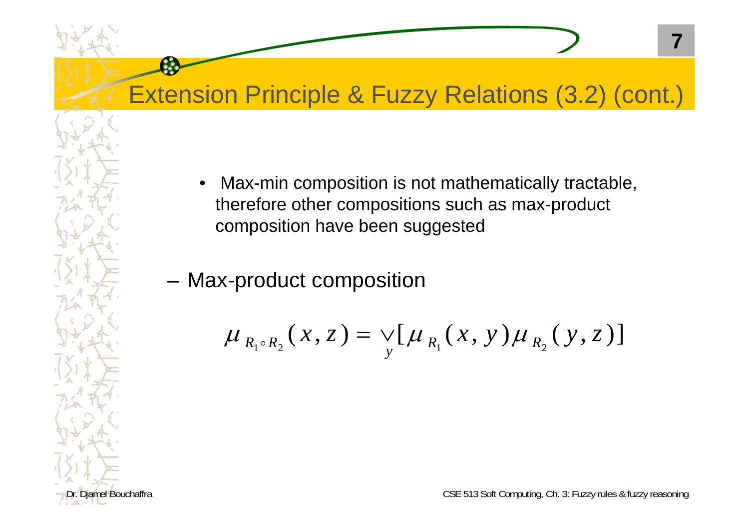• Max-min composition is not mathematically tractable, therefore other compositions such as max-product composition have been suggested

–Max-product composition

6

$$
\mu_{R_1 \circ R_2}(x, z) = \bigvee_{y} [\mu_{R_1}(x, y) \mu_{R_2}(y, z)]
$$

Dr. Djamel Bouchaffra CSE 513 Soft Computing, Ch. 3: Fuzzy rules & fuzzy reasoning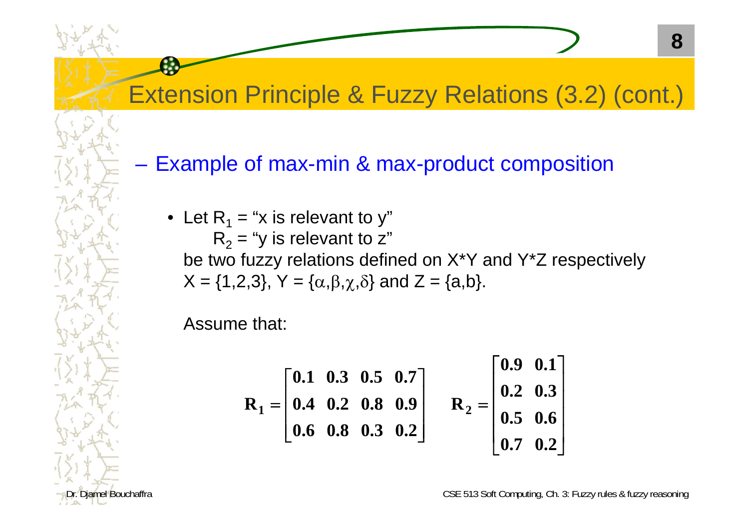–Example of max-min & max-product composition

• Let R<sub>1</sub> = "x is relevant to y"  $R_2$  = "y is relevant to z" be two fuzzy relations defined on X\*Y and Y\*Z respectively  $\mathsf{X}=\{1,2,3\},\, \mathsf{Y}=\{\alpha,\beta,\chi,\delta\}$  and  $\mathsf{Z}=\{\mathsf{a},\mathsf{b}\}.$ 

Assume that:

$$
R_1 = \begin{bmatrix} 0.1 & 0.3 & 0.5 & 0.7 \\ 0.4 & 0.2 & 0.8 & 0.9 \\ 0.6 & 0.8 & 0.3 & 0.2 \end{bmatrix} \qquad R_2 = \begin{bmatrix} 0.9 & 0.1 \\ 0.2 & 0.3 \\ 0.5 & 0.6 \\ 0.7 & 0.2 \end{bmatrix}
$$

Diamel Bouchaffra CSE 513 Soft Computing, Ch. 3: Fuzzy rules & fuzzy reasoning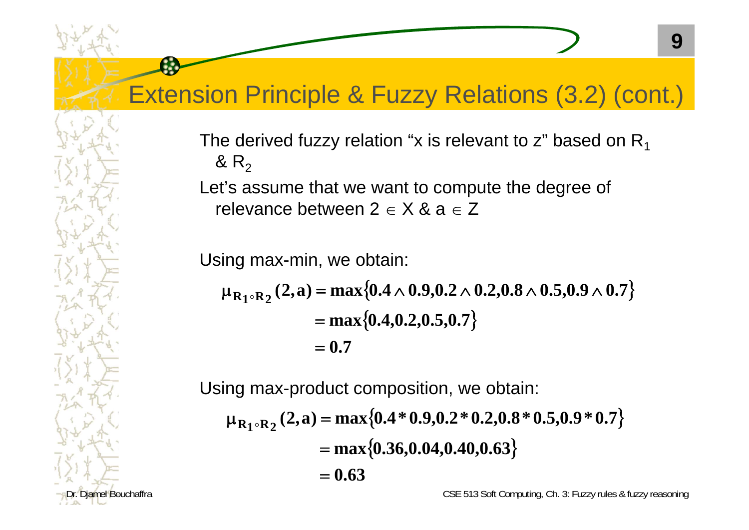The derived fuzzy relation "x is relevant to z" based on  $R_1$ &  $\mathsf{R}_2$ 

Let's assume that we want to compute the degree of relevance between 2  $\in$  X & a  $\in$  Z

Using max-min, we obtain:

$$
\mu_{R_1 \circ R_2}(2, a) = \max\{0.4 \land 0.9, 0.2 \land 0.2, 0.8 \land 0.5, 0.9 \land 0.7\}
$$
  
= max{0.4, 0.2, 0.5, 0.7}  
= 0.7

Using max-product composition, we obtain:  $\mu_{\mathbf{R}_1 \circ \mathbf{R}_2}$  (2, a) =  $\max\{0.4 * 0.9, 0.2 * 0.2, 0.8 * 0.5, 0.9 * 0.7\}$  $= \max\{0.36, 0.04, 0.40, 0.63\}$ **0.63**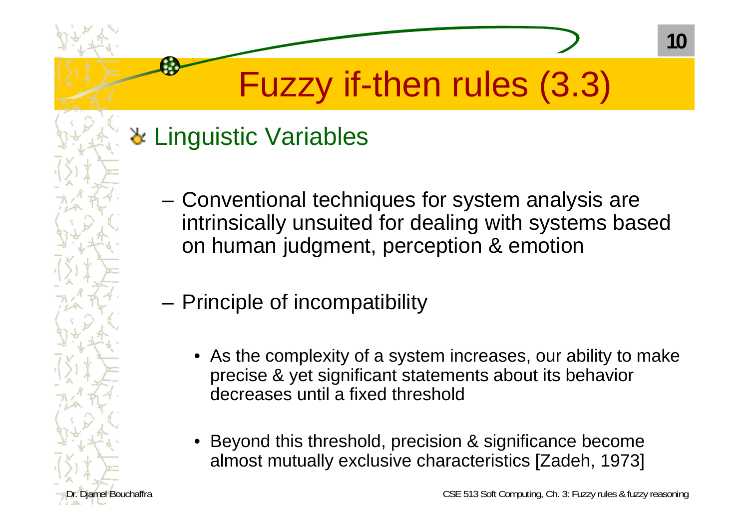# Fuzzy if-then rules (3.3)

### **\*** Linguistic Variables

- Conventional techniques for system analysis are intrinsically unsuited for dealing with systems based on human judgment, perception & emotion
- – Principle of incompatibility
	- $\bullet$  As the complexity of a system increases, our ability to make precise & yet significant statements about its behavior decreases until a fixed threshold
	- • Beyond this threshold, precision & significance become almost mutually exclusive characteristics [Zadeh, 1973]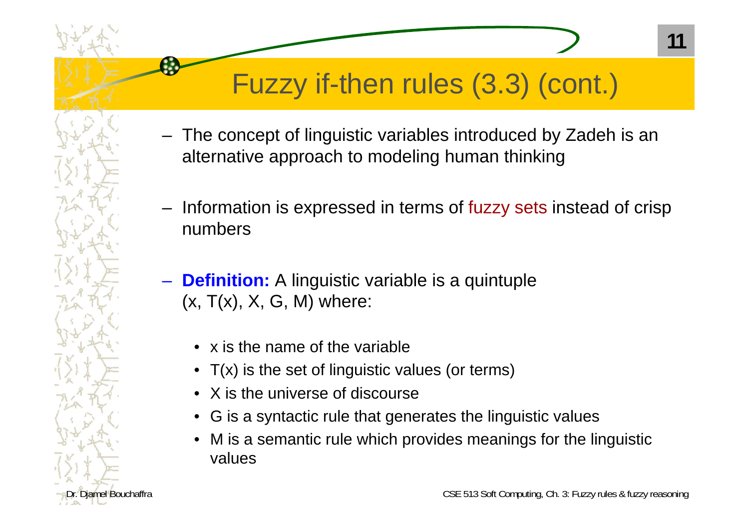- The concept of linguistic variables introduced by Zadeh is an alternative approach to modeling human thinking
- – Information is expressed in terms of fuzzy sets instead of crisp numbers
- **Definition:** A linguistic variable is a quintuple  $(x, T(x), X, G, M)$  where:
	- x is the name of the variable
	- $\bullet$ T(x) is the set of linguistic values (or terms)
	- X is the universe of discourse
	- G is a syntactic rule that generates the linguistic values
	- M is a semantic rule which provides meanings for the linguistic values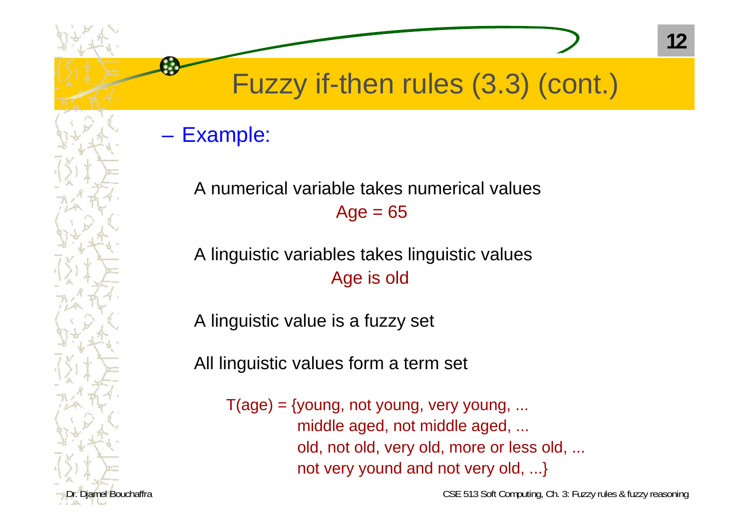#### Example:

#### A numerical variable takes numerical values $Age = 65$

#### A linguistic variables takes linguistic values Age is old

A linguistic value is a fuzzy set

All linguistic values form a term set

 $T(age) = \{young, not young, very young, ...$ middle aged, not middle aged, ... old, not old, very old, more or less old, ... not very yound and not very old, ...}

Dr. Diamel Bouchaffra CSE 513 Soft Computing, Ch. 3: Fuzzy rules & fuzzy reasoning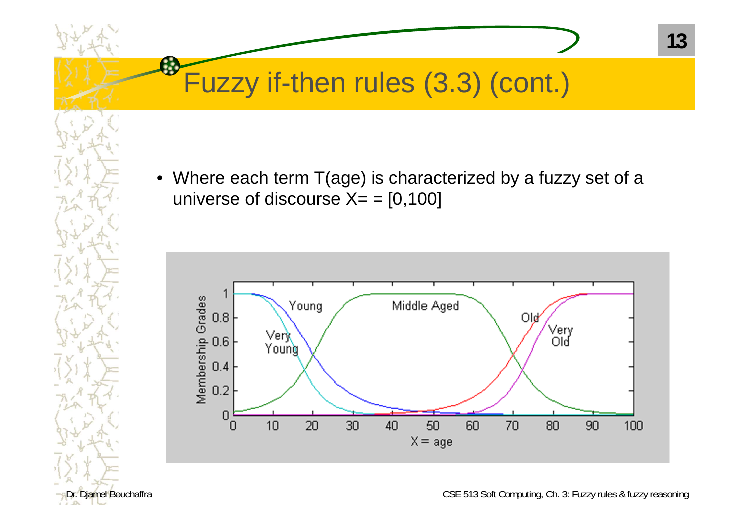**C** 

 $\bullet$  Where each term T(age) is characterized by a fuzzy set of a universe of discourse  $X = [0,100]$ 



Dr. Djamel Bouchaffra CSE 513 Soft Computing, Ch. 3: Fuzzy rules & fuzzy reasoning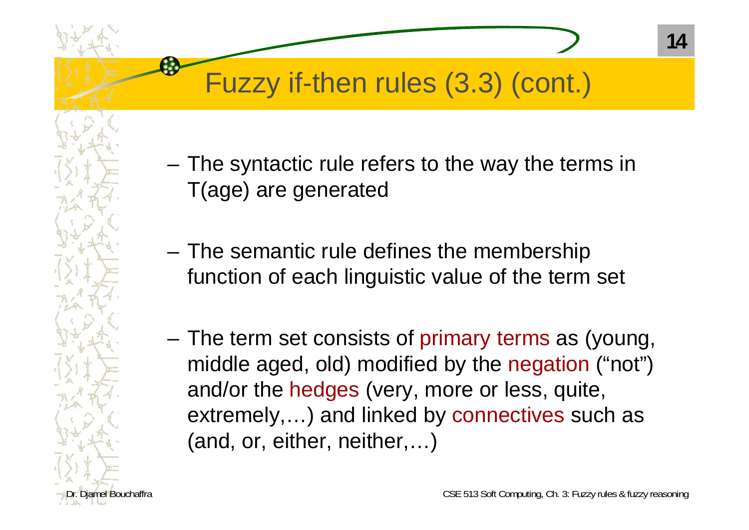- – The syntactic rule refers to the way the terms in T(age) are generated
- The semantic rule defines the membership function of each linguistic value of the term set
- – The term set consists of primary terms as (young, middle aged, old) modified by the negation ("not") and/or the hedges (very, more or less, quite, extremely,…) and linked by connectives such as (and, or, either, neither,…)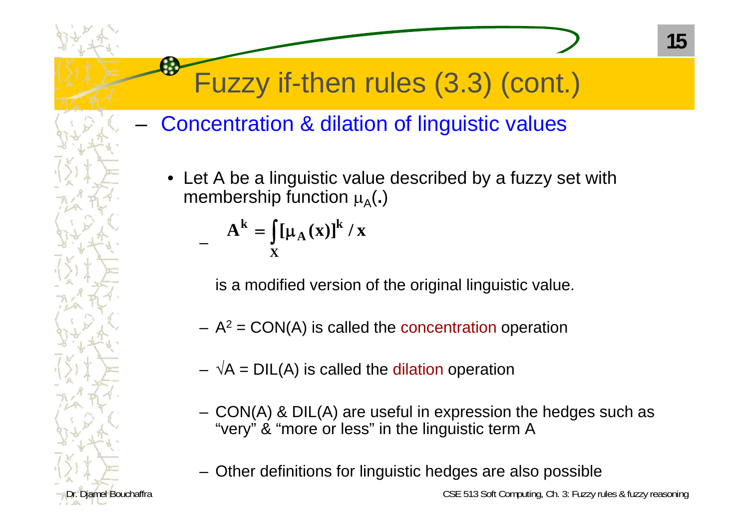- Concentration & dilation of linguistic values
	- • Let A be a linguistic value described by a fuzzy set with membership function A(**.**)

$$
A^{k} = \int_{X} [\mu_{A}(x)]^{k} / x
$$

is a modified version of the original linguistic value.

- $-$  A<sup>2</sup> = CON(A) is called the concentration operation
- $\sqrt{A}$  = DIL(A) is called the dilation operation
- CON(A) & DIL(A) are useful in expression the hedges such as "very" & "more or less" in the linguistic term A
- Other definitions for linguistic hedges are also possible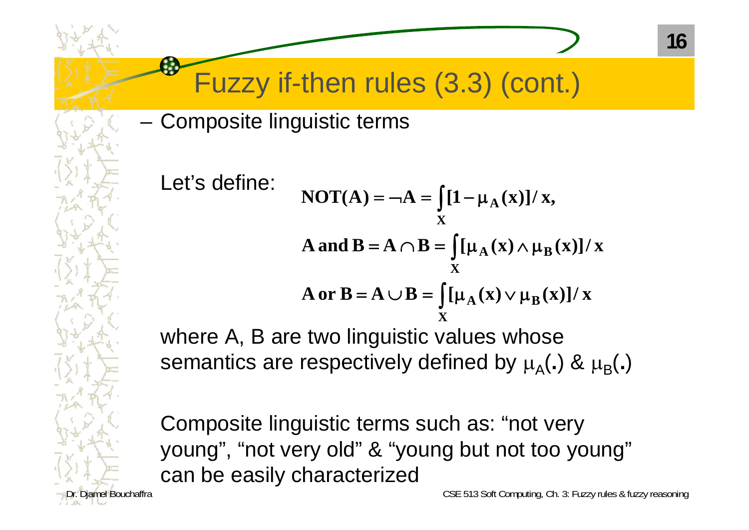–Composite linguistic terms

Let's defi

$$
\begin{aligned}\n\text{where:} \quad & \text{NOT}(A) = \neg A = \int_{X} [1 - \mu_A(x)]/x, \\
& A \text{ and } B = A \cap B = \int_{X} [\mu_A(x) \land \mu_B(x)]/x, \\
& A \text{ or } B = A \cup B = \int_{X} [\mu_A(x) \lor \mu_B(x)]/x.\n\end{aligned}
$$

where A, B are two linguistic values whose semantics are respectively defined by  $\mu_\mathsf{A}(\centerdot)$  &  $\mu_\mathsf{B}(\centerdot)$ 

Composite linguistic terms such as: "not very young", "not very old" & "young but not too young" can be easily characterized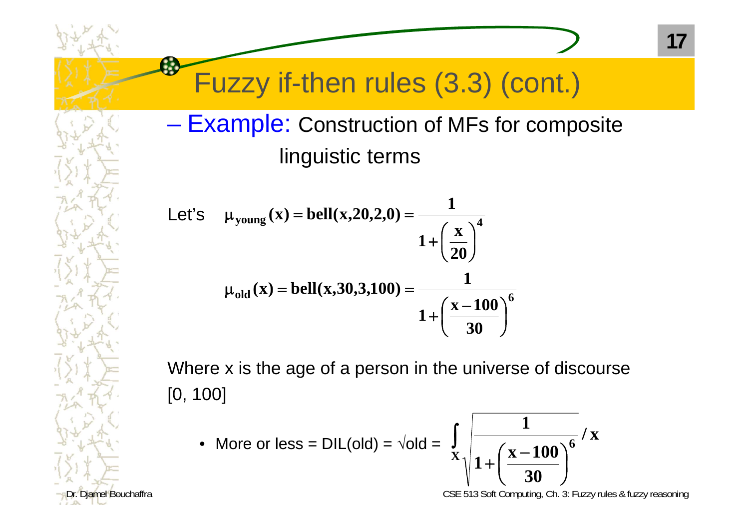#### – Example: Construction of MFs for composite linguistic terms

Let's 
$$
\mu_{\text{young}}(x) = \text{bell}(x, 20, 2, 0) = \frac{1}{1 + \left(\frac{x}{20}\right)^4}
$$
  

$$
\mu_{\text{old}}(x) = \text{bell}(x, 30, 3, 100) = \frac{1}{1 + \left(\frac{x - 100}{30}\right)^6}
$$

Where x is the age of a person in the universe of discourse [0, 100]

• More or less =  $DIL(old) = \sqrt{old} =$ 

$$
\int_{X}\sqrt{\frac{1}{1+\left(\frac{x-100}{30}\right)^{6}}}/x
$$

Diamel Bouchaffra **CSE 513** Soft Computing, Ch. 3: Fuzzy rules & fuzzy reasoning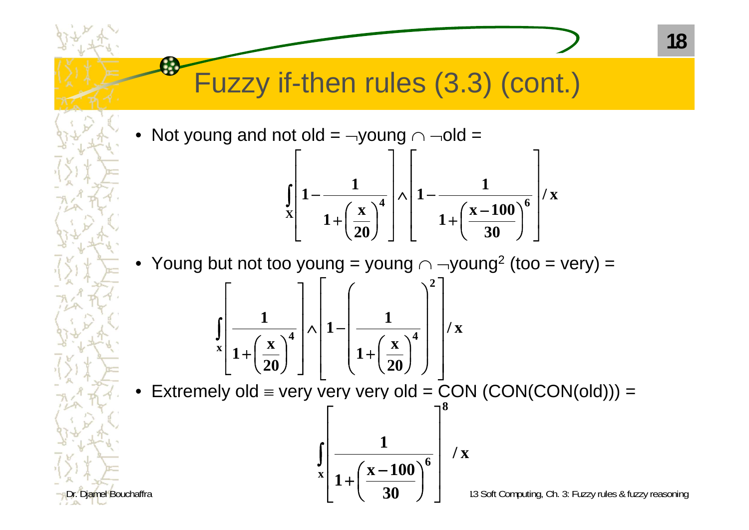•Not young and not old =  $\neg$ young  $\cap$   $\neg$ old =

£.

$$
\int_{X} \left[1 - \frac{1}{1 + \left(\frac{x}{20}\right)^4}\right] \wedge \left[1 - \frac{1}{1 + \left(\frac{x - 100}{30}\right)^6}\right] / x
$$

•Young but not too young = young  $\cap$   $\neg$ young<sup>2</sup> (too = very) =

$$
\int\limits_{x} \left[ \frac{1}{1+\left(\frac{x}{20}\right)^4} \right] \wedge \left[ 1-\left(\frac{1}{1+\left(\frac{x}{20}\right)^4} \right)^2 \right] / x
$$

•Extremely old  $\equiv$  very very very old  $=$  CON (CON(CON(old)))  $=$ 

 $\int$   $\mathbf{r}$   $\overline{\phantom{a}}$ Г  $\frac{\mathbf{x}-100}{20}$  $\int$  $\setminus$  $\pm$ **x8** $(x - 100)^6$ **/ x 3011**

Diamel Bouchaffra Computing, Ch. 3: Fuzzy rules & fuzzy reasoning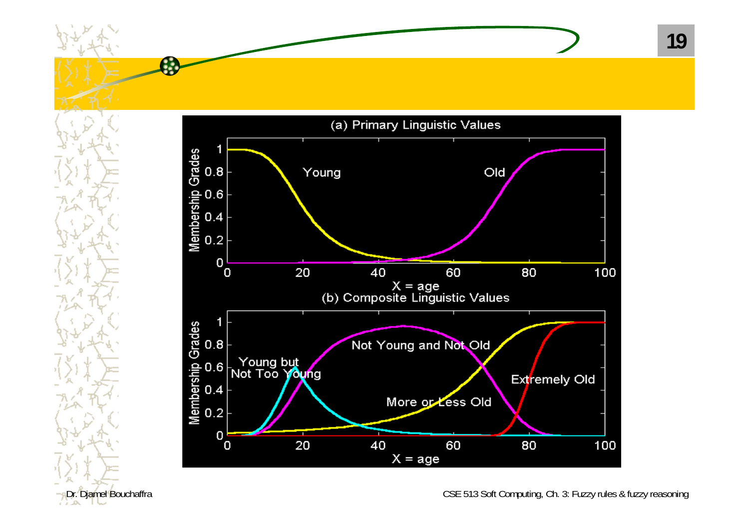

**A** 

Dr. Diamel Bouchaffra CSE 513 Soft Computing, Ch. 3: Fuzzy rules & fuzzy reasoning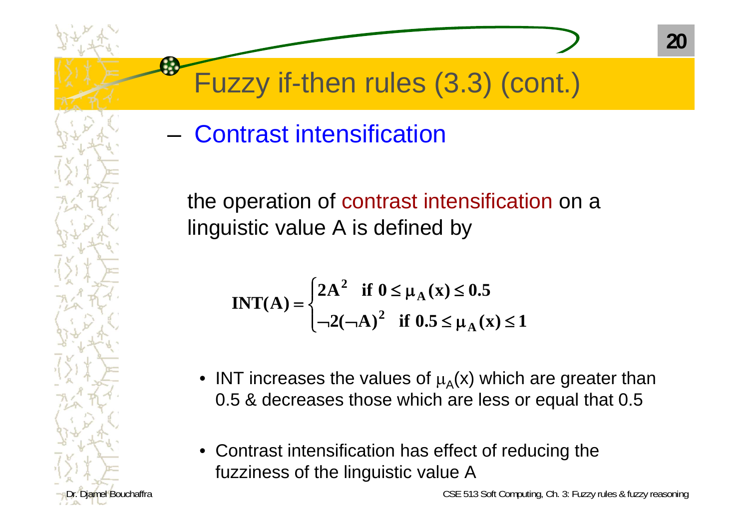–Contrast intensification

the operation of contrast intensification on a linguistic value A is defined by

$$
INT(A) = \begin{cases} 2A^2 & \text{if } 0 \le \mu_A(x) \le 0.5 \\ \neg 2(\neg A)^2 & \text{if } 0.5 \le \mu_A(x) \le 1 \end{cases}
$$

- INT increases the values of  $\mu_A(x)$  which are greater than 0.5 & decreases those which are less or equal that 0.5
- Contrast intensification has effect of reducing the fuzziness of the linguistic value A

Examel Bouchaffra CSE 513 Soft Computing, Ch. 3: Fuzzy rules & fuzzy reasoning